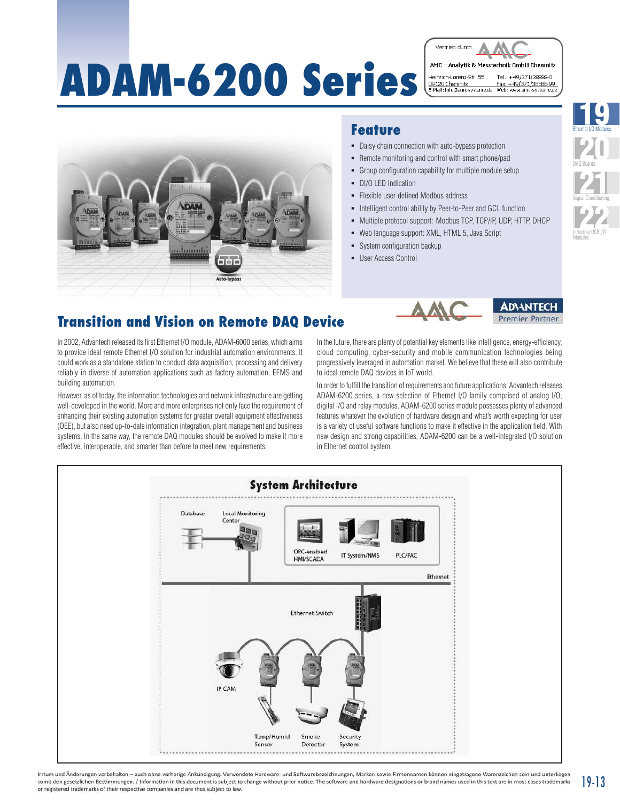# **ADAM-6200 Series**

Vertrieb durch AMC - Analytik & Messtechnik GmhH Chemnitz Heinrich-Lorenz-Str. 55<br><u>09120 Chemnitz</u><br>E-Mail: info@amc-systeme.de Tol: +40/271/29299.0 Fax: +49/371/38388-99<br>Web: www.amc-systeme.de



#### **Feature**

- Daisy chain connection with auto-bypass protection
- Remote monitoring and control with smart phone/pad
- Group configuration capability for multiple module setup
- DI/O LED Indication
- **Flexible user-defined Modbus address**
- Intelligent control ability by Peer-to-Peer and GCL function
- $\blacksquare$  Multiple protocol support: Modbus TCP, TCP/IP, UDP, HTTP, DHCP
- Web language support: XML, HTML 5, Java Script
- System configuration backup
- **User Access Control**



## **Transition and Vision on Remote DAQ Device**

In 2002, Advantech released its first Ethernet I/O module, ADAM-6000 series, which aims to provide ideal remote Ethernet I/O solution for industrial automation environments. It could work as a standalone station to conduct data acquisition, processing and delivery reliably in diverse of automation applications such as factory automation, EFMS and building automation.

However, as of today, the information technologies and network infrastructure are getting well-developed in the world. More and more enterprises not only face the requirement of enhancing their existing automation systems for greater overall equipment effectiveness (OEE), but also need up-to-date information integration, plant management and business systems. In the same way, the remote DAQ modules should be evolved to make it more effective, interoperable, and smarter than before to meet new requirements.

In the future, there are plenty of potential key elements like intelligence, energy-efficiency, cloud computing, cyber-security and mobile communication technologies being progressively leveraged in automation market. We believe that these will also contribute to ideal remote DAQ devices in IoT world.

In order to fulfill the transition of requirements and future applications, Advantech releases ADAM-6200 series, a new selection of Ethernet I/O family comprised of analog I/O, digital I/O and relay modules. ADAM-6200 series module possesses plenty of advanced features whatever the evolution of hardware design and what's worth expecting for user is a variety of useful software functions to make it effective in the application field. With new design and strong capabilities, ADAM-6200 can be a well-integrated I/O solution in Ethernet control system.



Irrtum und Änderungen vorbehalten - auch ohne vorherige Ankündigung. Verwendete Hardware- und Softwarebezeichnungen, Marken sowie Firmennamen können eingetragene Warenzeichen sein und unterliegen somit den gesetzlichen Bestimmungen. / Information in this document is subject to change without prior notice. The software and hardware designations or brand names used in this text are in most cases trademarks or registered trademarks of their respective companies and are thus subject to law.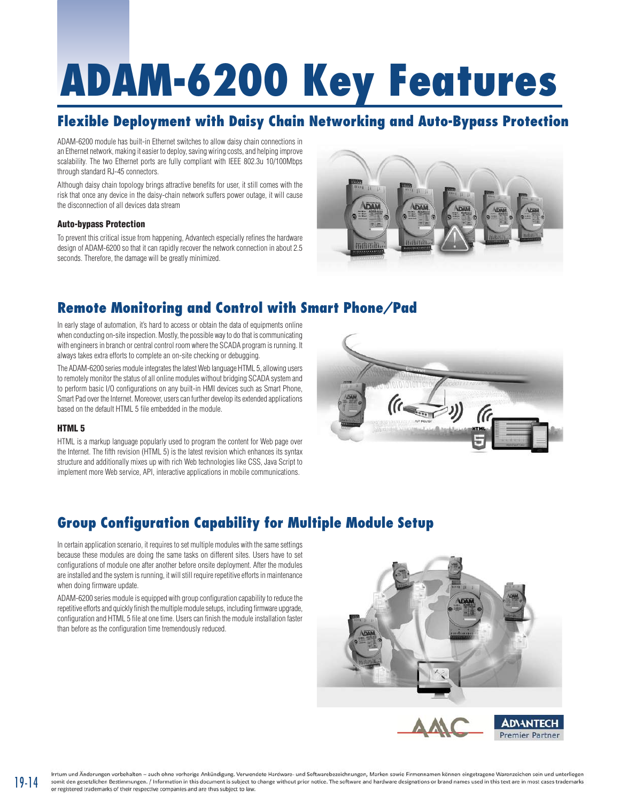# **ADAM-6200 Key Features**

## **Flexible Deployment with Daisy Chain Networking and Auto-Bypass Protection**

ADAM-6200 module has built-in Ethernet switches to allow daisy chain connections in an Ethernet network, making it easier to deploy, saving wiring costs, and helping improve scalability. The two Ethernet ports are fully compliant with IEEE 802.3u 10/100Mbps through standard RJ-45 connectors.

Although daisy chain topology brings attractive benefits for user, it still comes with the risk that once any device in the daisy-chain network suffers power outage, it will cause the disconnection of all devices data stream

#### Auto-bypass Protection

To prevent this critical issue from happening, Advantech especially refines the hardware design of ADAM-6200 so that it can rapidly recover the network connection in about 2.5 seconds. Therefore, the damage will be greatly minimized.



#### **Remote Monitoring and Control with Smart Phone/Pad**

In early stage of automation, it's hard to access or obtain the data of equipments online when conducting on-site inspection. Mostly, the possible way to do that is communicating with engineers in branch or central control room where the SCADA program is running. It always takes extra efforts to complete an on-site checking or debugging.

The ADAM-6200 series module integrates the latest Web language HTML 5, allowing users to remotely monitor the status of all online modules without bridging SCADA system and to perform basic I/O configurations on any built-in HMI devices such as Smart Phone, Smart Pad over the Internet. Moreover, users can further develop its extended applications based on the default HTML 5 file embedded in the module.

#### HTML 5

19-14

HTML is a markup language popularly used to program the content for Web page over the Internet. The fifth revision (HTML 5) is the latest revision which enhances its syntax structure and additionally mixes up with rich Web technologies like CSS, Java Script to implement more Web service, API, interactive applications in mobile communications.



## **Group Configuration Capability for Multiple Module Setup**

In certain application scenario, it requires to set multiple modules with the same settings because these modules are doing the same tasks on different sites. Users have to set configurations of module one after another before onsite deployment. After the modules are installed and the system is running, it will still require repetitive efforts in maintenance when doing firmware update.

ADAM-6200 series module is equipped with group configuration capability to reduce the repetitive efforts and quickly finish the multiple module setups, including firmware upgrade, configuration and HTML 5 file at one time. Users can finish the module installation faster than before as the configuration time tremendously reduced.

![](_page_1_Picture_16.jpeg)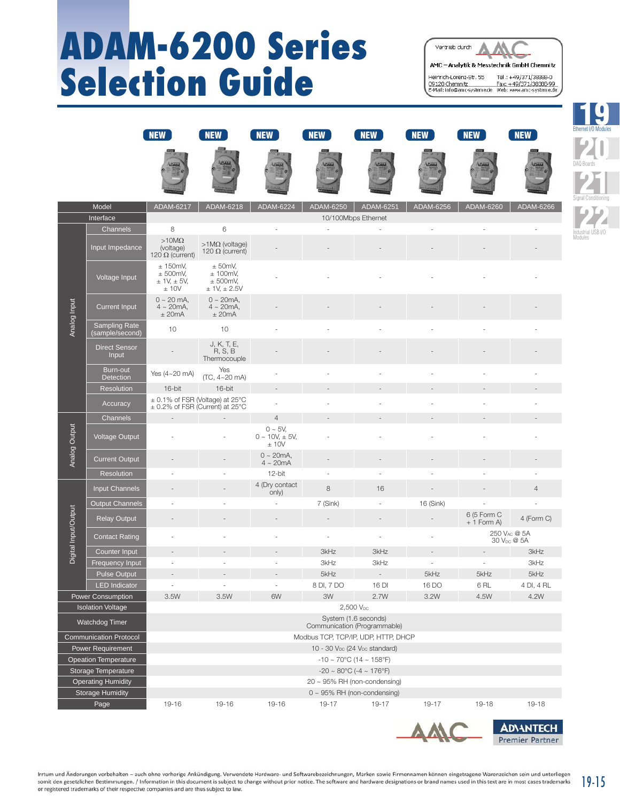## **ADAM-6200 Series Selection Guide**

Vertrieb durch AMC - Analytik & Messtechnik GmbH Chemnitz Heinrich-Lorenz-Str. 55 Tel.: +49/371/38388-0 nermun-Lurenz-Sut, 33 Ter.: +++9/371/38388-99<br>09120 Chemnitz Fax: +49/371/38388-99<br>E-Mail: info@amc-systeme.de Web: www.amc-systeme.de

> Ethernet I/O Modules 10

DAQ Boards **20** 

Signal Conditioning **21** 

Industrial USB I/O Modules

**22** 

|                               | Model                                   | ADAM-6217                                            | ADAM-6218                                                              | ADAM-6224                                    | ADAM-6250                         | ADAM-6251                           | ADAM-6256 | ADAM-6260                   | ADAM-6266      |  |
|-------------------------------|-----------------------------------------|------------------------------------------------------|------------------------------------------------------------------------|----------------------------------------------|-----------------------------------|-------------------------------------|-----------|-----------------------------|----------------|--|
|                               | Interface                               |                                                      |                                                                        |                                              |                                   | 10/100Mbps Ethernet                 |           |                             |                |  |
| Analog Input                  | Channels                                | 8                                                    | 6                                                                      |                                              |                                   |                                     |           |                             |                |  |
|                               | Input Impedance                         | $>10M\Omega$<br>(voltage)<br>120 $\Omega$ (current)  | $>1$ ΜΩ (voltage)<br>120 $\Omega$ (current)                            |                                              |                                   |                                     |           |                             |                |  |
|                               | Voltage Input                           | ± 150mV,<br>± 500mV,<br>± 1V, ± 5V,<br>± 10V         | $±$ 50mV,<br>± 100mV,<br>± 500mV,<br>± 1V, ± 2.5V                      |                                              |                                   |                                     |           |                             |                |  |
|                               | <b>Current Input</b>                    | $0 \sim 20$ mA,<br>$4 \sim 20mA$ ,<br>± 20mA         | $0 \sim 20mA$ ,<br>$4 \sim 20mA$ ,<br>$±$ 20mA                         |                                              |                                   |                                     |           |                             |                |  |
|                               | <b>Sampling Rate</b><br>(sample/second) | 10                                                   | 10                                                                     |                                              |                                   |                                     |           |                             |                |  |
|                               | <b>Direct Sensor</b><br>Input           |                                                      | J, K, T, E,<br>R, S, B<br>Thermocouple                                 |                                              |                                   |                                     |           |                             |                |  |
|                               | Burn-out<br><b>Detection</b>            | Yes (4~20 mA)                                        | Yes<br>(TC, 4~20 mA)                                                   |                                              |                                   |                                     |           |                             |                |  |
|                               | <b>Resolution</b>                       | 16-bit                                               | 16-bit                                                                 | $\overline{\phantom{a}}$                     |                                   |                                     |           |                             |                |  |
|                               | Accuracy                                |                                                      | ± 0.1% of FSR (Voltage) at 25°C<br>$\pm$ 0.2% of FSR (Current) at 25°C |                                              |                                   |                                     |           |                             |                |  |
|                               | Channels                                |                                                      |                                                                        | $\overline{4}$                               |                                   |                                     |           |                             |                |  |
| Analog Output                 | <b>Voltage Output</b>                   |                                                      |                                                                        | $0 - 5V$ ,<br>$0 \sim 10V, \pm 5V,$<br>± 10V |                                   |                                     |           |                             |                |  |
|                               | <b>Current Output</b>                   |                                                      |                                                                        | $0 \sim 20$ mA,<br>$4 \sim 20mA$             |                                   |                                     |           |                             |                |  |
|                               | <b>Resolution</b>                       | ÷,                                                   |                                                                        | 12-bit                                       |                                   |                                     |           |                             |                |  |
|                               | Input Channels                          |                                                      |                                                                        | 4 (Dry contact<br>only)                      | 8                                 | 16                                  |           |                             | $\overline{4}$ |  |
|                               | <b>Output Channels</b>                  |                                                      |                                                                        |                                              | 7 (Sink)                          |                                     | 16 (Sink) |                             |                |  |
| Digital Input/Output          | <b>Relay Output</b>                     |                                                      |                                                                        |                                              |                                   |                                     |           | 6 (5 Form C<br>$+1$ Form A) | 4 (Form C)     |  |
|                               | <b>Contact Rating</b>                   |                                                      |                                                                        |                                              |                                   |                                     |           | 30 V <sub>DC</sub> @ 5A     | 250 VAC @ 5A   |  |
|                               | Counter Input                           |                                                      |                                                                        |                                              | 3kHz                              | 3kHz                                |           |                             | 3kHz           |  |
|                               | Frequency Input                         |                                                      |                                                                        |                                              | 3kHz                              | 3kHz                                |           |                             | 3kHz           |  |
|                               | <b>Pulse Output</b>                     |                                                      |                                                                        |                                              | 5kHz                              | $\overline{\phantom{a}}$            | 5kHz      | 5kHz                        | 5kHz           |  |
|                               | <b>LED</b> Indicator                    |                                                      |                                                                        |                                              | 8 DI, 7 DO                        | 16 DI                               | 16 DO     | 6RL                         | 4 DI, 4 RL     |  |
|                               | <b>Power Consumption</b>                | 3.5W                                                 | 3.5W                                                                   | 6W                                           | 3W                                | 2.7W                                | 3.2W      | 4.5W                        | 4.2W           |  |
|                               | <b>Isolation Voltage</b>                |                                                      |                                                                        |                                              | 2,500 VDC                         |                                     |           |                             |                |  |
| <b>Watchdog Timer</b>         |                                         | System (1.6 seconds)<br>Communication (Programmable) |                                                                        |                                              |                                   |                                     |           |                             |                |  |
| <b>Communication Protocol</b> |                                         |                                                      |                                                                        |                                              |                                   | Modbus TCP, TCP/IP, UDP, HTTP, DHCP |           |                             |                |  |
| Power Requirement             |                                         | 10 - 30 $V_{DC}$ (24 $V_{DC}$ standard)              |                                                                        |                                              |                                   |                                     |           |                             |                |  |
| <b>Opeation Temperature</b>   |                                         | $-10 \sim 70^{\circ}$ C (14 ~ 158°F)                 |                                                                        |                                              |                                   |                                     |           |                             |                |  |
| Storage Temperature           |                                         | $-20 \sim 80^{\circ}$ C ( $-4 \sim 176^{\circ}$ F)   |                                                                        |                                              |                                   |                                     |           |                             |                |  |
| <b>Operating Humidity</b>     |                                         | $20 \sim 95\%$ RH (non-condensing)                   |                                                                        |                                              |                                   |                                     |           |                             |                |  |
| <b>Storage Humidity</b>       |                                         |                                                      |                                                                        |                                              | $0 \sim 95\%$ RH (non-condensing) |                                     |           |                             |                |  |
| Page                          |                                         | 19-16                                                | 19-16                                                                  | 19-16                                        | 19-17                             | 19-17                               | 19-17     | 19-18                       | 19-18          |  |

NEW (NEW (NEW NEW NEW NEW NEW NEW) (NEW NEW

![](_page_2_Figure_3.jpeg)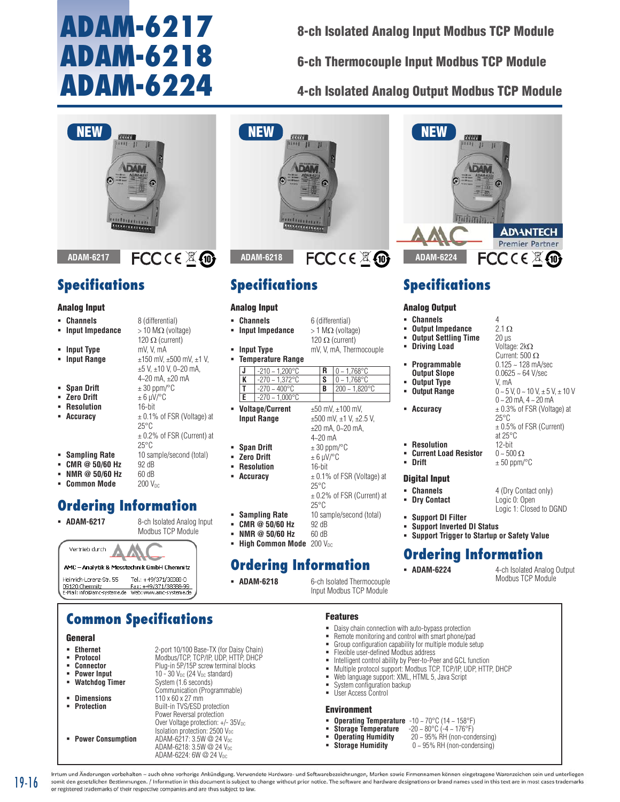## **ADAM-6217 ADAM-6218 ADAM-6224**

8-ch Isolated Analog Input Modbus TCP Module

6-ch Thermocouple Input Modbus TCP Module

4-ch Isolated Analog Output Modbus TCP Module

![](_page_3_Picture_4.jpeg)

**ADAM-6217**

## **Specifications**

#### Analog Input

- **Channels** 8 (differential) **Input Impedance**  $> 10 M\Omega$  (voltage) 120  $\Omega$  (current)
- **lnput Type** mV, V, mA **lnput Range**  $\pm$ 150 mV,  $\pm$ 500 mV,  $\pm$ 1 V,
- 
- **Span Drift**  $\pm 30$  ppm/ $\degree$ C
- $\bullet$  **Zero Drift**  $\pm 6 \mu V$ /°C
- **Resolution** 16-bit
- **Accuracy**  $\pm 0.1\%$  of FSR (Voltage) at
- **Sampling Rate** 10 sample/second (total)
- **CMR @ 50/60 Hz** 92 dB
- **NMR @ 50/60 Hz 60 dB**<br> **Common Mode 200 V<sub>pc</sub>**
- **Common Mode**

## **Ordering Information**

![](_page_3_Picture_21.jpeg)

25°C

25°C

±5 V, ±10 V, 0~20 mA, 4~20 mA, ±20 mA

± 0.2% of FSR (Current) at

![](_page_3_Picture_22.jpeg)

## **Common Specifications**

#### General

- **Ethernet** 2-port 10/100 Base-TX (for Daisy Chain)<br>**Protocol** Modbus/TCP, TCP/IP, UDP, HTTP, DHCP
- **Protocol** Modbus/TCP, TCP/IP, UDP, HTTP, DHCP<br> **Connector** Plug-in 5P/15P screw terminal blocks
- **Connector** Plug-in 5P/15P screw terminal blocks<br>**Power Input** 10 30 V<sub>pc</sub> (24 V<sub>pc</sub> standard)
- 
- 
- 
- 
- **Power Input** 10 30 V<sub>DC</sub> (24 V<sub>DC</sub> standard)<br> **Watchdog Timer** System (1.6 seconds) System (1.6 seconds) Communication (Programmable) **Dimensions** 110 x 60 x 27 mm<br>**Protection** Built-in TVS/ESD r **Protection** Built-in TVS/ESD protection Power Reversal protection Over Voltage protection: +/- 35Vpc Isolation protection: 2500 V<sub>pc</sub> **Power Consumption** ADAM-6217: 3.5W @ 24 VDC ADAM-6218: 3.5W @ 24 VDC ADAM-6224: 6W @ 24 VDC

![](_page_3_Picture_33.jpeg)

## **Specifications**

#### Analog Input

- **Channels** 6 (differential)
- **Input Impedance**  $> 1$  M $\Omega$  (voltage)
- **lnput Type** mV, V, mA, Thermocouple
- **Temperature Range**
	- **J** -210 ~ 1,200°C **R** 0 ~ 1,768°C  $-270 - 1,372^{\circ}$ C **S** 0 ~ 1,768°C **T**  $-270 \sim 400^{\circ}$ C **B**  $200 \sim 1,820^{\circ}$ C **E**  $-270 - 1,000$ °C

4~20 mA

120  $\Omega$  (current)

- **Voltage/Current** ±50 mV, ±100 mV, **Input Range**  $\pm 500$  mV,  $\pm 1$  V,  $\pm 2.5$  V,
- **Span Drift**  $\pm 30$  ppm/ $\degree$ C
- **zero Drift**  $\pm 6 \mu V$ <sup>o</sup>C
- **Resolution** 16-bit
- 
- 
- 
- **CMR @ 50/60 Hz** 92 dB<br>**NMR @ 50/60 Hz** 60 dB **NMR @ 50/60 Hz**
- **High Common Mode** 200 V<sub>DC</sub>

## **Ordering Information**

- 
- **ADAM-6218** 6-ch Isolated Thermocouple Input Modbus TCP Module

![](_page_3_Picture_53.jpeg)

## **Specifications**

#### Analog Output

- **Channels** 4<br>**Constant impedance**  $4$  2.1  $\Omega$
- **Output Impedance** 2.1 Ω<br>**Output Settling Time** 20 us
- **Output Settling Time** 20 μs<br>**Driving Load** Voltage: 2kΩ
- **Driving Load**
- **Programmable**  $0.125 \sim 128$  mA/sec<br> **Output Slope**  $0.0625 \sim 64$  V/sec
- **Dutput Type<br>Dutput Range**
- 

**Resolution** 

- **Accuracy**  $\pm 0.3\%$  of FSR (Voltage) at
- 
- ±20 mA, 0~20 mA,
	-
	-
- 25°C
- 25°C
- **Sampling Rate** 10 sample/second (total)
	-
	-
- **Support Inverted DI Status Support Trigger to Startup or Safety Value Ordering Information**
	-

```
 ADAM-6224 4-ch Isolated Analog Output 
          Modbus TCP Module
```
Current: 500 Ω

0.0625 ~ 64 V/sec<br>V mA

25°C

at 25°C

**Drift** ± 50 ppm/°C

 $0 - 5$  V,  $0 - 10$  V,  $\pm$  5 V,  $\pm$  10 V 0 ~ 20 mA, 4 ~ 20 mA

± 0.5% of FSR (Current)

Logic 1: Closed to DGND

#### Features

- Daisy chain connection with auto-bypass protection
- Remote monitoring and control with smart phone/pad
- Group configuration capability for multiple module setup
- Flexible user-defined Modbus address
- **Intelligent control ability by Peer-to-Peer and GCL function**
- Multiple protocol support: Modbus TCP, TCP/IP, UDP, HTTP, DHCP Web language support: XML, HTML 5, Java Script
- 
- **System configuration backup User Access Control**

#### Environment

- **Derating Temperature**  $-10 \sim 70^{\circ}$ C (14 ~ 158°F)<br>**Storage Temperature**  $-20 \sim 80^{\circ}$ C (-4 ~ 176°F)
	- Storage Temperature<br>Operating Humidity
- -
- **Operating Humidity** 20 ~ 95% RH (non-condensing) 0 ~ 95% RH (non-condensing)
- Irrtum und Änderungen vorbehalten auch ohne vorherige Ankündigung. Verwendete Hardware- und Softwarebezeichnungen, Marken sowie Firmennamen können eingetragene Warenzeichen sein und unterliegen somit den gesetzlichen Bestimmungen. / Information in this document is subject to change without prior notice. The software and hardware designations or brand names used in this text are in most cases trademarks or registe

19-16

**Accuracy**  $\pm 0.1\%$  of FSR (Voltage) at **Current Load Resistor**  $0 \sim 500 \Omega$ <br>**- Drift**  $+50 \text{ nom/}$ 

± 0.2% of FSR (Current) at

### Digital Input **Channels** 4 (Dry Contact only)<br>**Dry Contact** Logic 0: Open **- Dry Contact Support DI Filter**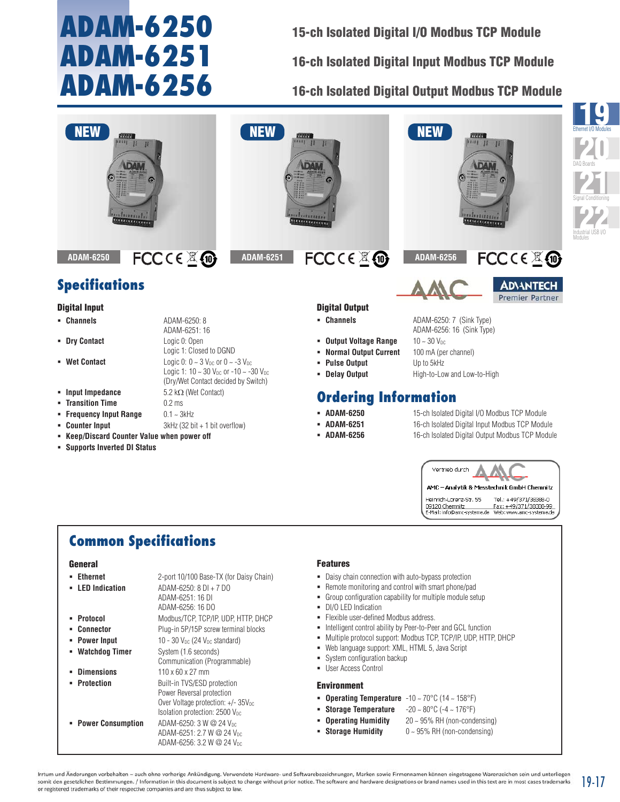## **ADAM-6250 ADAM-6251 ADAM-6256**

15-ch Isolated Digital I/O Modbus TCP Module 16-ch Isolated Digital Input Modbus TCP Module

16-ch Isolated Digital Output Modbus TCP Module

![](_page_4_Picture_3.jpeg)

## **Common Specifications**

#### General

| <b>Ethernet</b><br><b>LED</b> Indication<br>٠ | 2-port 10/100 Base-TX (for Daisy Chain)<br>ADAM-6250: 8 DI + 7 DO<br>ADAM-6251: 16 DI<br>ADAM-6256: 16 DO                                        |
|-----------------------------------------------|--------------------------------------------------------------------------------------------------------------------------------------------------|
| Protocol                                      | Modbus/TCP, TCP/IP, UDP, HTTP, DHCP                                                                                                              |
| Connector<br>٠                                | Plug-in 5P/15P screw terminal blocks                                                                                                             |
| <b>Power Input</b>                            | 10 - 30 $V_{DC}$ (24 $V_{DC}$ standard)                                                                                                          |
| <b>Watchdog Timer</b>                         | System (1.6 seconds)<br>Communication (Programmable)                                                                                             |
| <b>Dimensions</b>                             | 110 x 60 x 27 mm                                                                                                                                 |
| <b>Protection</b>                             | Built-in TVS/ESD protection<br>Power Reversal protection<br>Over Voltage protection: $+/- 35V_{DC}$<br>Isolation protection: $2500V_{\text{nc}}$ |
| <b>Power Consumption</b>                      | ADAM-6250: 3 W @ 24 Vnc<br>ADAM-6251: 2.7 W @ 24 Vpc<br>ADAM-6256: 3.2 W @ 24 V <sub>pc</sub>                                                    |

#### Features

- Daisy chain connection with auto-bypass protection
- Remote monitoring and control with smart phone/pad
- Group configuration capability for multiple module setup
- **DI/O LED Indication**
- **Flexible user-defined Modbus address.**
- $\blacksquare$  Intelligent control ability by Peer-to-Peer and GCL function
- Multiple protocol support: Modbus TCP, TCP/IP, UDP, HTTP, DHCP

AMC - Analytik & Messtechnik GmbH Chemnitz

Tel.: +49/371/38388-0 Fax: +49/371/38388-99<br>Web: www.amc-systeme.de

Heinrich-Lorenz-Str. 55

09120 Chemnitz<br>E-Mail: info@amc-systeme.de

- Web language support: XML, HTML 5, Java Script
- **System configuration backup**
- User Access Control

#### Environment

- **Operating Temperature** -10 ~ 70°C (14 ~ 158°F)
- **Storage Temperature** -20 ~ 80°C (-4 ~ 176°F)
- **Operating Humidity** 20 ~ 95% RH (non-condensing)
- **Storage Humidity**  $0 \sim 95\%$  RH (non-condensing)

Irrtum und Änderungen vorbehalten - auch ohne vorherige Ankündigung, Verwendete Hardware- und Softwarebezeichnungen, Marken sowie Firmennamen können eingetragene Warenzeichen sein und unterliegen somit den gesetzlichen Bestimmungen. / Information in this document is subject to change without prior notice. The software and hardware designations or brand names used in this text are in most cases trademarks 19-17 or registered trademarks of their respective companies and are thus subject to law.